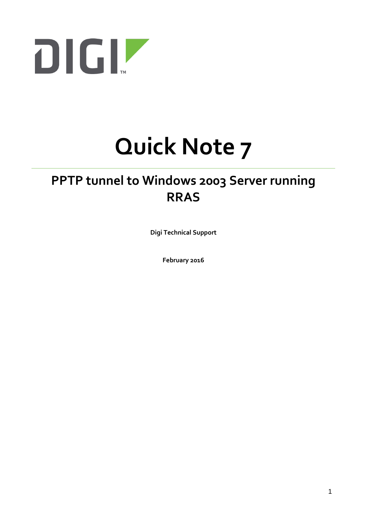

# **Quick Note 7**

## **PPTP tunnel to Windows 2003 Server running RRAS**

**Digi Technical Support**

**February 2016**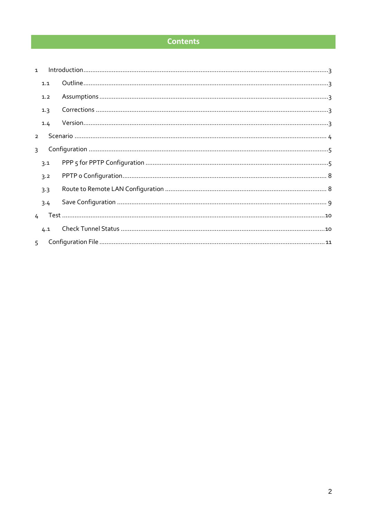#### **Contents**

| 1 <sup>1</sup> |               |  |
|----------------|---------------|--|
|                | 1.1           |  |
|                | 1.2           |  |
|                | 1.3           |  |
|                | 1.4           |  |
| $\mathcal{P}$  |               |  |
| $\mathbf{R}$   |               |  |
|                | 3.1           |  |
|                | 3.2           |  |
|                | 3.3           |  |
|                | 3.4           |  |
|                | $\frac{1}{2}$ |  |
|                | 4.1           |  |
| $5 -$          |               |  |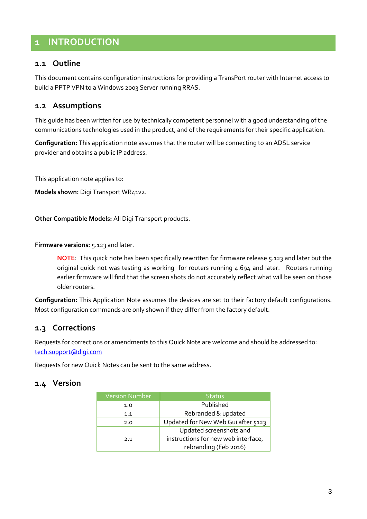## <span id="page-2-0"></span>**1 INTRODUCTION**

#### <span id="page-2-1"></span>**1.1 Outline**

This document contains configuration instructions for providing a TransPort router with Internet access to build a PPTP VPN to a Windows 2003 Server running RRAS.

#### <span id="page-2-2"></span>**1.2 Assumptions**

This guide has been written for use by technically competent personnel with a good understanding of the communications technologies used in the product, and of the requirements for their specific application.

**Configuration:** This application note assumes that the router will be connecting to an ADSL service provider and obtains a public IP address.

This application note applies to:

**Models shown:** Digi Transport WR41v2.

**Other Compatible Models:** All Digi Transport products.

**Firmware versions:** 5.123 and later.

**NOTE**: This quick note has been specifically rewritten for firmware release 5.123 and later but the original quick not was testing as working for routers running 4.694 and later. Routers running earlier firmware will find that the screen shots do not accurately reflect what will be seen on those older routers.

**Configuration:** This Application Note assumes the devices are set to their factory default configurations. Most configuration commands are only shown if they differ from the factory default.

#### <span id="page-2-3"></span>**1.3 Corrections**

Requests for corrections or amendments to this Quick Note are welcome and should be addressed to: [tech.support@digi.com](mailto:tech.support@digi.com)

Requests for new Quick Notes can be sent to the same address.

#### <span id="page-2-4"></span>**1.4 Version**

| <b>Version Number</b> | <b>Status</b>                       |  |  |
|-----------------------|-------------------------------------|--|--|
| 1.0                   | Published                           |  |  |
| 1.1                   | Rebranded & updated                 |  |  |
| 2.0                   | Updated for New Web Gui after 5123  |  |  |
|                       | Updated screenshots and             |  |  |
| 2.1                   | instructions for new web interface, |  |  |
|                       | rebranding (Feb 2016)               |  |  |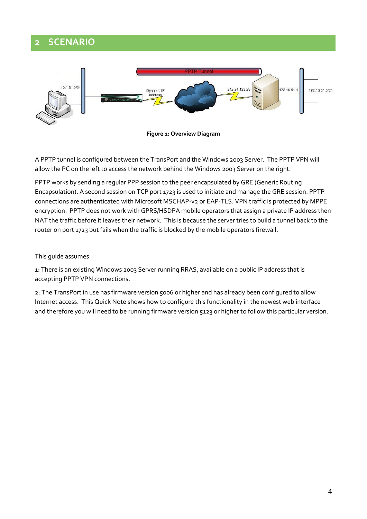## <span id="page-3-0"></span>**2 SCENARIO**





A PPTP tunnel is configured between the TransPort and the Windows 2003 Server. The PPTP VPN will allow the PC on the left to access the network behind the Windows 2003 Server on the right.

PPTP works by sending a regular PPP session to the peer encapsulated by GRE (Generic Routing Encapsulation). A second session on TCP port 1723 is used to initiate and manage the GRE session. PPTP connections are authenticated with Microsoft MSCHAP-v2 or EAP-TLS. VPN traffic is protected by MPPE encryption. PPTP does not work with GPRS/HSDPA mobile operators that assign a private IP address then NAT the traffic before it leaves their network. This is because the server tries to build a tunnel back to the router on port 1723 but fails when the traffic is blocked by the mobile operators firewall.

This guide assumes:

1: There is an existing Windows 2003 Server running RRAS, available on a public IP address that is accepting PPTP VPN connections.

2: The TransPort in use has firmware version 5006 or higher and has already been configured to allow Internet access. This Quick Note shows how to configure this functionality in the newest web interface and therefore you will need to be running firmware version 5123 or higher to follow this particular version.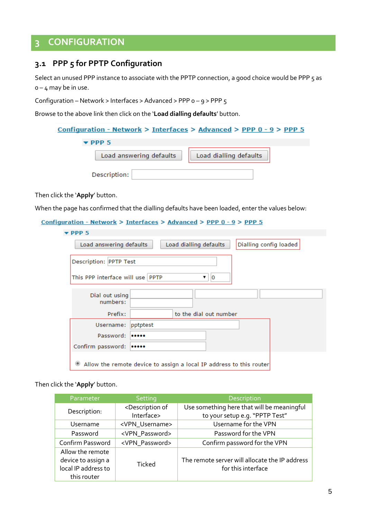## <span id="page-4-0"></span>**3 CONFIGURATION**

#### <span id="page-4-1"></span>**3.1 PPP 5 for PPTP Configuration**

Select an unused PPP instance to associate with the PPTP connection, a good choice would be PPP 5 as  $0 - 4$  may be in use.

Configuration – Network > Interfaces > Advanced > PPP 0 – 9 > PPP 5

Browse to the above link then click on the '**Load dialling defaults**' button.

| <u> Configuration - Network &gt; Interfaces &gt; Advanced &gt; PPP 0 - 9 &gt; PPP 5</u> |                        |
|-----------------------------------------------------------------------------------------|------------------------|
| $\blacktriangleright$ PPP 5                                                             |                        |
| Load answering defaults                                                                 | Load dialling defaults |
| Description:                                                                            |                        |

Then click the '**Apply**' button.

٠

When the page has confirmed that the dialling defaults have been loaded, enter the values below:

```
Configuration - Network > Interfaces > Advanced > PPP 0 - 9 > PPP 5
```

| PPP5                                                                        |  |  |  |  |  |  |  |
|-----------------------------------------------------------------------------|--|--|--|--|--|--|--|
| Dialling config loaded<br>Load answering defaults<br>Load dialling defaults |  |  |  |  |  |  |  |
| Description: PPTP Test                                                      |  |  |  |  |  |  |  |
| This PPP interface will use PPTP<br>10<br>▼                                 |  |  |  |  |  |  |  |
| Dial out using<br>numbers:                                                  |  |  |  |  |  |  |  |
| to the dial out number<br>Prefix:                                           |  |  |  |  |  |  |  |
| pptptest<br>Username:                                                       |  |  |  |  |  |  |  |
| Password:<br>                                                               |  |  |  |  |  |  |  |
| Confirm password:<br>                                                       |  |  |  |  |  |  |  |
| Allow the remote device to assign a local IP address to this router         |  |  |  |  |  |  |  |

| Parameter                                                                    | Setting                                                                                     | Description                                                          |
|------------------------------------------------------------------------------|---------------------------------------------------------------------------------------------|----------------------------------------------------------------------|
| Description:                                                                 | <description of<="" td=""><td>Use something here that will be meaningful</td></description> | Use something here that will be meaningful                           |
|                                                                              | Interface>                                                                                  | to your setup e.g. "PPTP Test"                                       |
| Username                                                                     | <vpn_username></vpn_username>                                                               | Username for the VPN                                                 |
| Password                                                                     | <vpn_password></vpn_password>                                                               | Password for the VPN                                                 |
| Confirm Password                                                             | <vpn_password></vpn_password>                                                               | Confirm password for the VPN                                         |
| Allow the remote<br>device to assign a<br>local IP address to<br>this router | <b>Ticked</b>                                                                               | The remote server will allocate the IP address<br>for this interface |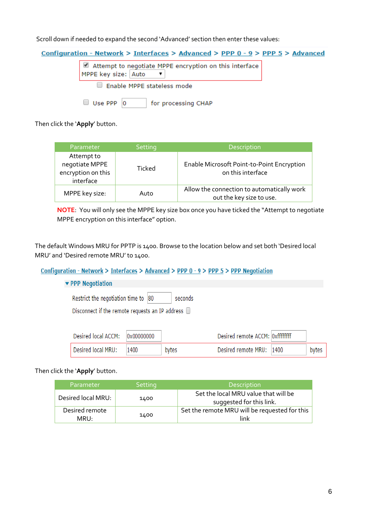Scroll down if needed to expand the second 'Advanced' section then enter these values:

| Configuration - Network > Interfaces > Advanced > PPP $0 - 9$ > PPP $5$ > Advanced |  |  |  |
|------------------------------------------------------------------------------------|--|--|--|
| Attempt to negotiate MPPE encryption on this interface<br>MPPE key size: Auto      |  |  |  |
| Enable MPPE stateless mode                                                         |  |  |  |
| Use PPP 10<br>for processing CHAP                                                  |  |  |  |

Then click the '**Apply**' button.

| Parameter                                                       | Setting | Description                                                            |
|-----------------------------------------------------------------|---------|------------------------------------------------------------------------|
| Attempt to<br>negotiate MPPE<br>encryption on this<br>interface | Ticked  | Enable Microsoft Point-to-Point Encryption<br>on this interface        |
| MPPE key size:                                                  | Auto    | Allow the connection to automatically work<br>out the key size to use. |

**NOTE**: You will only see the MPPE key size box once you have ticked the "Attempt to negotiate MPPE encryption on this interface" option.

The default Windows MRU for PPTP is 1400. Browse to the location below and set both 'Desired local MRU' and 'Desired remote MRU' to 1400.

#### Configuration - Network > Interfaces > Advanced > PPP  $0 - 9$  > PPP  $5$  > PPP Negotiation

#### ▼ PPP Negotiation

Restrict the negotiation time to 80 seconds

Disconnect if the remote requests an IP address  $\Box$ 

| Desired local ACCM: 0x00000000 |      |       | Desired remote ACCM: Oxffffffff |       |
|--------------------------------|------|-------|---------------------------------|-------|
| Desired local MRU:             | 1400 | bytes | Desired remote MRU: 1400        | bytes |

| Parameter              | <b>Setting</b> | Description                                                      |
|------------------------|----------------|------------------------------------------------------------------|
| Desired local MRU:     | 1400           | Set the local MRU value that will be<br>suggested for this link. |
| Desired remote<br>MRU: | 1400           | Set the remote MRU will be requested for this<br>link            |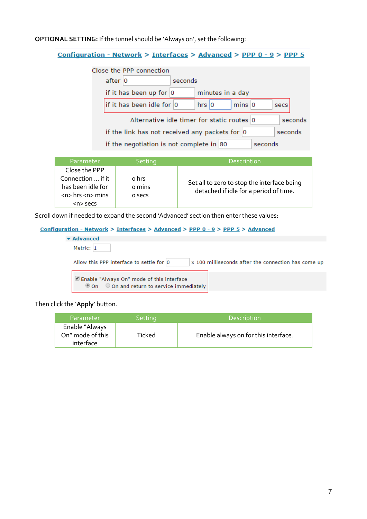#### **OPTIONAL SETTING:** If the tunnel should be 'Always on', set the following:

#### Configuration - Network > Interfaces > Advanced > PPP 0 - 9 > PPP 5

| Close the PPP connection                                            |         |            |                  |  |      |  |
|---------------------------------------------------------------------|---------|------------|------------------|--|------|--|
| after $ 0\rangle$                                                   | seconds |            |                  |  |      |  |
| if it has been up for $ 0\rangle$                                   |         |            | minutes in a day |  |      |  |
| if it has been idle for 0                                           |         | $hrs$ $ 0$ | $mins$ 0         |  | secs |  |
| Alternative idle timer for static routes 0<br>seconds               |         |            |                  |  |      |  |
| if the link has not received any packets for $ 0\rangle$<br>seconds |         |            |                  |  |      |  |
| if the negotiation is not complete in $ 80 $<br>seconds             |         |            |                  |  |      |  |

| Parameter                                                              | Setting                   | Description                                                                           |
|------------------------------------------------------------------------|---------------------------|---------------------------------------------------------------------------------------|
| Close the PPP                                                          |                           |                                                                                       |
| Connection  if it<br>has been idle for<br>$<$ n $>$ hrs $<$ n $>$ mins | o hrs<br>o mins<br>o secs | Set all to zero to stop the interface being<br>detached if idle for a period of time. |
| $n$ secs                                                               |                           |                                                                                       |

Scroll down if needed to expand the second 'Advanced' section then enter these values:

#### Configuration - Network > Interfaces > Advanced > PPP 0 - 9 > PPP 5 > Advanced

| $\blacktriangleright$ Advanced                                                           |                                                     |
|------------------------------------------------------------------------------------------|-----------------------------------------------------|
| Metric: 1                                                                                |                                                     |
| Allow this PPP interface to settle for 0                                                 | x 100 milliseconds after the connection has come up |
| Enable "Always On" mode of this interface<br>© On © On and return to service immediately |                                                     |

| Parameter                                       | Setting | <b>Description</b>                   |
|-------------------------------------------------|---------|--------------------------------------|
| Enable "Always<br>On" mode of this<br>interface | Ticked  | Enable always on for this interface. |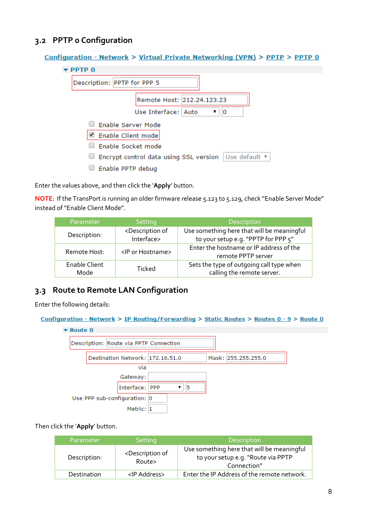#### <span id="page-7-0"></span>**3.2 PPTP 0 Configuration**

| Configuration - Network > Virtual Private Networking (VPN) > PPTP > PPTP 0 |
|----------------------------------------------------------------------------|
| $\blacktriangleright$ PPTP 0                                               |
| Description: PPTP for PPP 5                                                |
| Remote Host: 212.24.123.23                                                 |
| Use Interface:   Auto<br>▼<br>О                                            |
| Enable Server Mode                                                         |
| Enable Client mode                                                         |
| Enable Socket mode                                                         |
| Encrypt control data using SSL version   Use default ▼                     |
| Enable PPTP debug                                                          |

Enter the values above, and then click the '**Apply**' button.

**NOTE**: If the TransPort is running an older firmware release 5.123 to 5.129, check "Enable Server Mode" instead of "Enable Client Mode".

| Parameter                    | Setting                                           | <b>Description</b>                                                                |
|------------------------------|---------------------------------------------------|-----------------------------------------------------------------------------------|
| Description:                 | <description of<br="">Interface&gt;</description> | Use something here that will be meaningful<br>to your setup e.g. "PPTP for PPP 5" |
| Remote Host:                 | <ip hostname="" or=""></ip>                       | Enter the hostname or IP address of the<br>remote PPTP server                     |
| <b>Enable Client</b><br>Mode | Ticked                                            | Sets the type of outgoing call type when<br>calling the remote server.            |

#### <span id="page-7-1"></span>**3.3 Route to Remote LAN Configuration**

Enter the following details:

Configuration - Network > IP Routing/Forwarding > Static Routes > Routes 0 - 9 > Route 0



| Parameter    | <b>Setting</b>                                | <b>Description</b>                                                                              |
|--------------|-----------------------------------------------|-------------------------------------------------------------------------------------------------|
| Description: | <description of<br="">Route&gt;</description> | Use something here that will be meaningful<br>to your setup e.g. "Route via PPTP<br>Connection" |
| Destination  | <ip address=""></ip>                          | Enter the IP Address of the remote network.                                                     |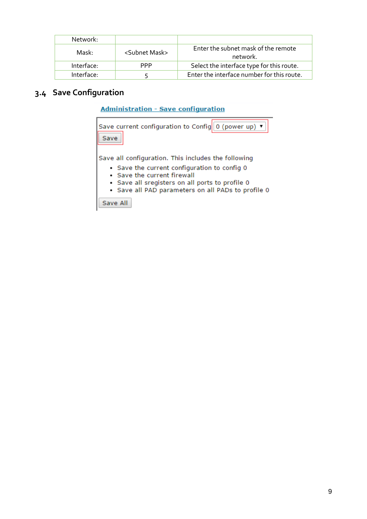| Network:   |                           |                                                 |
|------------|---------------------------|-------------------------------------------------|
| Mask:      | <subnet mask=""></subnet> | Enter the subnet mask of the remote<br>network. |
| Interface: | PPP.                      | Select the interface type for this route.       |
| Interface: |                           | Enter the interface number for this route.      |

## <span id="page-8-0"></span>**3.4 Save Configuration**

| <b>Administration - Save configuration</b> |  |  |
|--------------------------------------------|--|--|
|--------------------------------------------|--|--|

| Save current configuration to Config $\ 0\$ (power up) $\blacktriangledown$<br>Save                                                                                                                                                         |  |
|---------------------------------------------------------------------------------------------------------------------------------------------------------------------------------------------------------------------------------------------|--|
| Save all configuration. This includes the following<br>• Save the current configuration to config 0<br>• Save the current firewall<br>• Save all sregisters on all ports to profile 0<br>• Save all PAD parameters on all PADs to profile 0 |  |
| Save All                                                                                                                                                                                                                                    |  |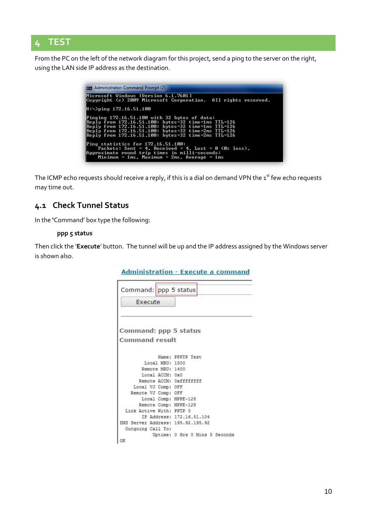### <span id="page-9-0"></span>**4 TEST**

From the PC on the left of the network diagram for this project, send a ping to the server on the right, using the LAN side IP address as the destination.

| <b>Exil Administrator: Command Prompt (2)</b>                                                                                                                                                                                                                               |
|-----------------------------------------------------------------------------------------------------------------------------------------------------------------------------------------------------------------------------------------------------------------------------|
| Microsoft Windows [Version 6.1.7601]<br> Copyright (c) 2009 Microsoft Corporation. All rights reserved.                                                                                                                                                                     |
| H:\>ping 172.16.51.100                                                                                                                                                                                                                                                      |
| Pinging 172.16.51.100 with 32 bytes of data:<br> Reply from 172.16.51.100: bytes=32 time=1ms TTL=126<br>Reply from 172.16.51.100: bytes=32 time=1ms TTL=126<br>Reply from 172.16.51.100: bytes=32 time=2ms TTL=126<br>  Reply from 172.16.51.100: bytes=32 time=2ms TTL=126 |
| Ping statistics for 172.16.51.100:<br>Packets: Sent = 4. Received = 4. Lost = $\theta$ ( $\theta$ loss).<br>Approximate round trip times in milli-seconds:<br>Minimum = $1ms$ , Maximum = $2ms$ , Average = $1ms$                                                           |

The ICMP echo requests should receive a reply, if this is a dial on demand VPN the  $1<sup>st</sup>$  few echo requests may time out.

#### <span id="page-9-1"></span>**4.1 Check Tunnel Status**

In the **'**Command' box type the following:

#### **ppp 5 status**

Then click the '**Execute**' button. The tunnel will be up and the IP address assigned by the Windows server is shown also.

|                                   | Administration - Execute a command |
|-----------------------------------|------------------------------------|
| Command: ppp 5 status             |                                    |
| Execute                           |                                    |
| Command: ppp 5 status             |                                    |
| <b>Command result</b>             |                                    |
|                                   | Name: PPPTP Test                   |
| Local MRU: 1500                   |                                    |
| Remote MRU: 1400                  |                                    |
| Local ACCM: 0x0                   |                                    |
| Remote ACCM: Oxfffffffff          |                                    |
| Local VJ Comp: OFF                |                                    |
| Remote VJ Comp: OFF               |                                    |
| Local Comp: MPPE-128              |                                    |
| Remote Comp: MPPE-128             |                                    |
| Link Active With: PPTP 0          |                                    |
|                                   | IP Address: 172.16.51.104          |
| DNS Server Address: 195.92.195.92 |                                    |
| Outgoing Call To:                 |                                    |
|                                   | Uptime: 0 Hrs 0 Mins 5 Seconds     |
| OК                                |                                    |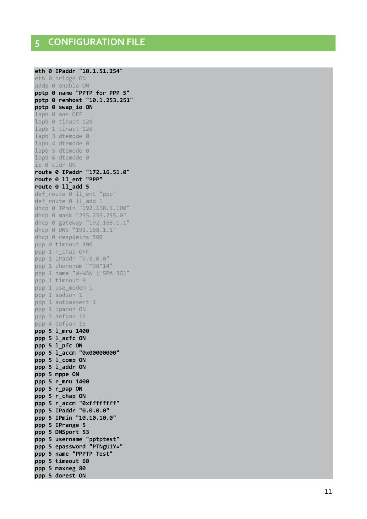<span id="page-10-0"></span>eth 0 IPaddr "10.1.51.254" eth 0 bridge ON addp 0 enable ON pptp 0 name "PPTP for PPP 5" pptp 0 remhost "10.1.253.251" pptp 0 swap io ON lapb 0 ans OFF lapb 0 tinact 120 lapb 1 tinact 120 lapb 3 dtemode 0 lapb 4 dtemode 0 lapb 5 dtemode 0 lapb 6 dtemode 0 ip 0 cidr ON route 0 IPaddr "172.16.51.0" route 0 11\_ent "PPP" route 0 11 add 5 def\_route 0 ll\_ent "ppp" def\_route 0 ll\_add 1 dhcp 0 IPmin "192.168.1.100" dhcp 0 mask "255.255.255.0" dhcp 0 gateway "192.168.1.1" dhcp 0 DNS "192.168.1.1" dhcp 0 respdelms 500 ppp 0 timeout 300 ppp 1 r\_chap OFF ppp 1 IPaddr "0.0.0.0" ppp 1 phonenum "\*98\*1#" ppp 1 name "W-WAN (HSPA 3G)" ppp 1 timeout 0 ppp 1 use modem 1 ppp 1 aodion 1 ppp 1 autoassert 1 ppp 1 ipanon ON ppp 3 defpak 16 ppp 4 defpak 16 ppp 5 1\_mru 1400 ppp 5 1 acfc ON ppp 5 1 pfc ON ppp 5 1\_accm "0x00000000" ppp 5 1\_comp ON ppp 5 1\_addr ON ppp 5 mppe ON ppp 5 r\_mru 1400 ppp 5 r pap ON ppp 5 r chap ON ppp 5 r accm "0xfffffffff" ppp 5 IPaddr "0.0.0.0" ppp 5 IPmin "10.10.10.0" ppp 5 IPrange 5 ppp 5 DNSport 53 ppp 5 username "pptptest" ppp 5 epassword "PTNgU1Y=" ppp 5 name "PPPTP Test" ppp 5 timeout 60 ppp 5 maxneg 80 ppp 5 dorest ON